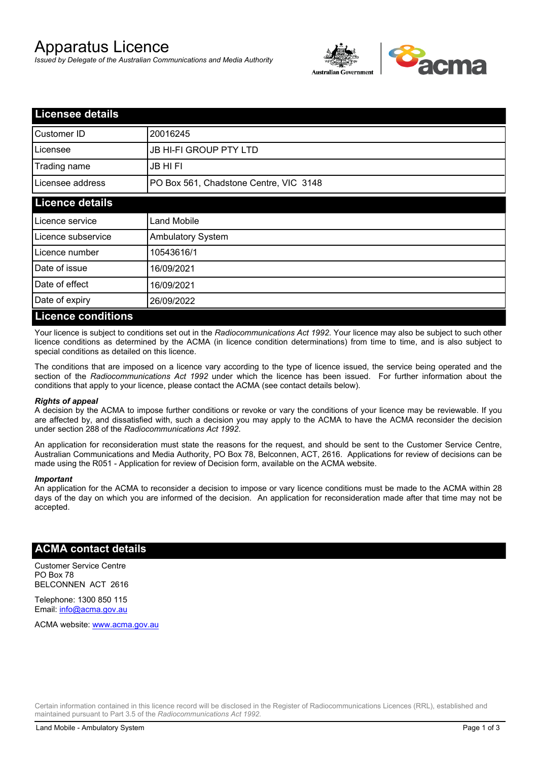# Apparatus Licence

*Issued by Delegate of the Australian Communications and Media Authority*



| <b>Licensee details</b>   |                                        |  |
|---------------------------|----------------------------------------|--|
| Customer ID               | 20016245                               |  |
| Licensee                  | <b>JB HI-FI GROUP PTY LTD</b>          |  |
| Trading name              | <b>JB HIFI</b>                         |  |
| Licensee address          | PO Box 561, Chadstone Centre, VIC 3148 |  |
| <b>Licence details</b>    |                                        |  |
| Licence service           | <b>Land Mobile</b>                     |  |
| Licence subservice        | <b>Ambulatory System</b>               |  |
| Licence number            | 10543616/1                             |  |
| Date of issue             | 16/09/2021                             |  |
| Date of effect            | 16/09/2021                             |  |
| Date of expiry            | 26/09/2022                             |  |
| <b>Licence conditions</b> |                                        |  |

Your licence is subject to conditions set out in the *Radiocommunications Act 1992*. Your licence may also be subject to such other licence conditions as determined by the ACMA (in licence condition determinations) from time to time, and is also subject to special conditions as detailed on this licence.

The conditions that are imposed on a licence vary according to the type of licence issued, the service being operated and the section of the *Radiocommunications Act 1992* under which the licence has been issued. For further information about the conditions that apply to your licence, please contact the ACMA (see contact details below).

### *Rights of appeal*

A decision by the ACMA to impose further conditions or revoke or vary the conditions of your licence may be reviewable. If you are affected by, and dissatisfied with, such a decision you may apply to the ACMA to have the ACMA reconsider the decision under section 288 of the *Radiocommunications Act 1992*.

An application for reconsideration must state the reasons for the request, and should be sent to the Customer Service Centre, Australian Communications and Media Authority, PO Box 78, Belconnen, ACT, 2616. Applications for review of decisions can be made using the R051 - Application for review of Decision form, available on the ACMA website.

#### *Important*

An application for the ACMA to reconsider a decision to impose or vary licence conditions must be made to the ACMA within 28 days of the day on which you are informed of the decision. An application for reconsideration made after that time may not be accepted.

## **ACMA contact details**

Customer Service Centre PO Box 78 BELCONNEN ACT 2616

Telephone: 1300 850 115 Email: info@acma.gov.au

ACMA website: www.acma.gov.au

Certain information contained in this licence record will be disclosed in the Register of Radiocommunications Licences (RRL), established and maintained pursuant to Part 3.5 of the *Radiocommunications Act 1992.*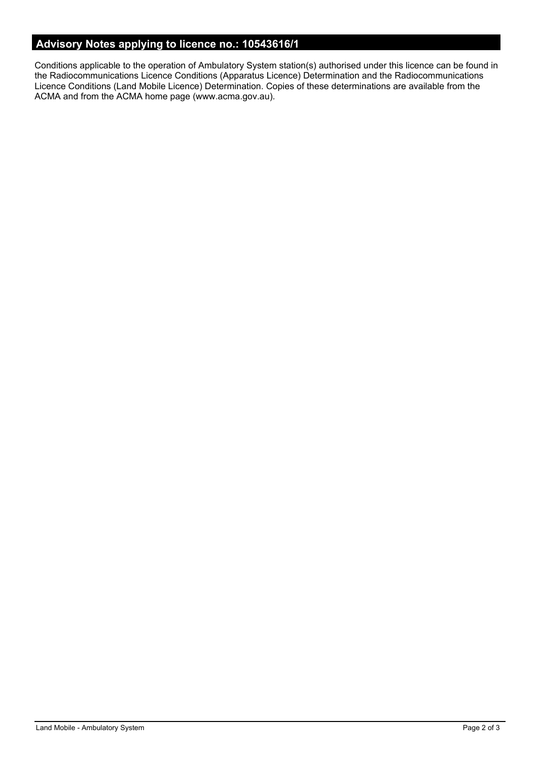# **Advisory Notes applying to licence no.: 10543616/1**

Conditions applicable to the operation of Ambulatory System station(s) authorised under this licence can be found in the Radiocommunications Licence Conditions (Apparatus Licence) Determination and the Radiocommunications Licence Conditions (Land Mobile Licence) Determination. Copies of these determinations are available from the ACMA and from the ACMA home page (www.acma.gov.au).